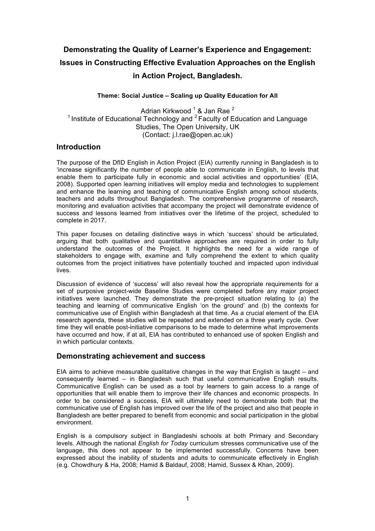# **Demonstrating the Quality of Learner's Experience and Engagement: Issues in Constructing Effective Evaluation Approaches on the English in Action Project, Bangladesh.**

## **Theme: Social Justice – Scaling up Quality Education for All**

Adrian Kirkwood<sup>1</sup> & Jan Rae<sup>2</sup> <sup>1</sup> Institute of Educational Technology and  $2$  Faculty of Education and Language Studies, The Open University, UK (Contact: j.l.rae@open.ac.uk)

## **Introduction**

The purpose of the DfID English in Action Project (EIA) currently running in Bangladesh is to 'increase significantly the number of people able to communicate in English, to levels that enable them to participate fully in economic and social activities and opportunities' (EIA, 2008). Supported open learning initiatives will employ media and technologies to supplement and enhance the learning and teaching of communicative English among school students, teachers and adults throughout Bangladesh. The comprehensive programme of research, monitoring and evaluation activities that accompany the project will demonstrate evidence of success and lessons learned from initiatives over the lifetime of the project, scheduled to complete in 2017.

This paper focuses on detailing distinctive ways in which 'success' should be articulated, arguing that both qualitative and quantitative approaches are required in order to fully understand the outcomes of the Project. It highlights the need for a wide range of stakeholders to engage with, examine and fully comprehend the extent to which quality outcomes from the project initiatives have potentially touched and impacted upon individual lives.

Discussion of evidence of 'success' will also reveal how the appropriate requirements for a set of purposive project-wide Baseline Studies were completed before any major project initiatives were launched. They demonstrate the pre-project situation relating to (a) the teaching and learning of communicative English 'on the ground' and (b) the contexts for communicative use of English within Bangladesh at that time. As a crucial element of the EIA research agenda, these studies will be repeated and extended on a three yearly cycle. Over time they will enable post-initiative comparisons to be made to determine what improvements have occurred and how, if at all, EIA has contributed to enhanced use of spoken English and in which particular contexts.

## **Demonstrating achievement and success**

EIA aims to achieve measurable qualitative changes in the way that English is taught – and consequently learned – in Bangladesh such that useful communicative English results. Communicative English can be used as a tool by learners to gain access to a range of opportunities that will enable them to improve their life chances and economic prospects. In order to be considered a success, EIA will ultimately need to demonstrate both that the communicative use of English has improved over the life of the project and also that people in Bangladesh are better prepared to benefit from economic and social participation in the global environment.

English is a compulsory subject in Bangladeshi schools at both Primary and Secondary levels. Although the national *English for Today* curriculum stresses communicative use of the language, this does not appear to be implemented successfully. Concerns have been expressed about the inability of students and adults to communicate effectively in English (e.g. Chowdhury & Ha, 2008; Hamid & Baldauf, 2008; Hamid, Sussex & Khan, 2009).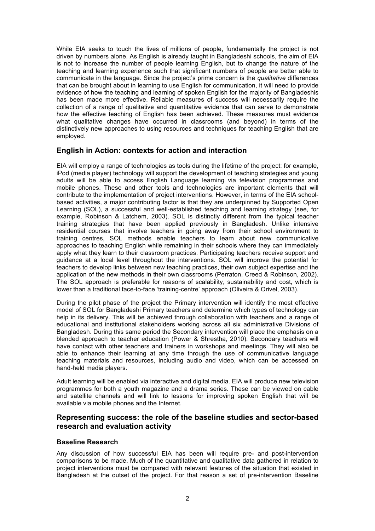While EIA seeks to touch the lives of millions of people, fundamentally the project is not driven by numbers alone. As English is already taught in Bangladeshi schools, the aim of EIA is not to increase the number of people learning English, but to change the nature of the teaching and learning experience such that significant numbers of people are better able to communicate in the language. Since the project's prime concern is the *qualitative* differences that can be brought about in learning to use English for communication, it will need to provide evidence of how the teaching and learning of spoken English for the majority of Bangladeshis has been made more effective. Reliable measures of success will necessarily require the collection of a range of qualitative and quantitative evidence that can serve to demonstrate how the effective teaching of English has been achieved. These measures must evidence what qualitative changes have occurred in classrooms (and beyond) in terms of the distinctively new approaches to using resources and techniques for teaching English that are employed.

# **English in Action: contexts for action and interaction**

EIA will employ a range of technologies as tools during the lifetime of the project: for example, iPod (media player) technology will support the development of teaching strategies and young adults will be able to access English Language learning via television programmes and mobile phones. These and other tools and technologies are important elements that will contribute to the implementation of project interventions. However, in terms of the EIA schoolbased activities, a major contributing factor is that they are underpinned by Supported Open Learning (SOL), a successful and well-established teaching and learning strategy (see, for example, Robinson & Latchem, 2003). SOL is distinctly different from the typical teacher training strategies that have been applied previously in Bangladesh. Unlike intensive residential courses that involve teachers in going away from their school environment to training centres, SOL methods enable teachers to learn about new communicative approaches to teaching English while remaining in their schools where they can immediately apply what they learn to their classroom practices. Participating teachers receive support and guidance at a local level throughout the interventions. SOL will improve the potential for teachers to develop links between new teaching practices, their own subject expertise and the application of the new methods in their own classrooms (Perraton, Creed & Robinson, 2002). The SOL approach is preferable for reasons of scalability, sustainability and cost, which is lower than a traditional face-to-face 'training-centre' approach (Oliveira & Orivel, 2003).

During the pilot phase of the project the Primary intervention will identify the most effective model of SOL for Bangladeshi Primary teachers and determine which types of technology can help in its delivery. This will be achieved through collaboration with teachers and a range of educational and institutional stakeholders working across all six administrative Divisions of Bangladesh. During this same period the Secondary intervention will place the emphasis on a blended approach to teacher education (Power & Shrestha, 2010). Secondary teachers will have contact with other teachers and trainers in workshops and meetings. They will also be able to enhance their learning at any time through the use of communicative language teaching materials and resources, including audio and video, which can be accessed on hand-held media players.

Adult learning will be enabled via interactive and digital media. EIA will produce new television programmes for both a youth magazine and a drama series. These can be viewed on cable and satellite channels and will link to lessons for improving spoken English that will be available via mobile phones and the Internet.

## **Representing success: the role of the baseline studies and sector-based research and evaluation activity**

## **Baseline Research**

Any discussion of how successful EIA has been will require pre- and post-intervention comparisons to be made. Much of the quantitative and qualitative data gathered in relation to project interventions must be compared with relevant features of the situation that existed in Bangladesh at the outset of the project. For that reason a set of pre-intervention Baseline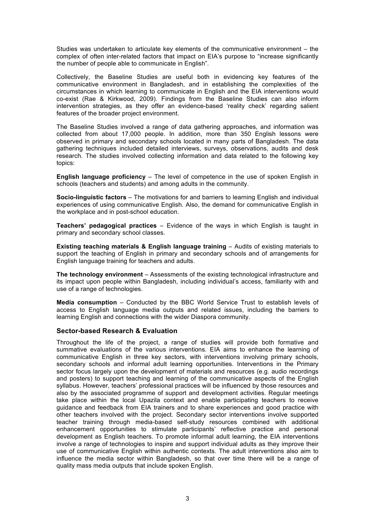Studies was undertaken to articulate key elements of the communicative environment – the complex of often inter-related factors that impact on EIA's purpose to "increase significantly the number of people able to communicate in English".

Collectively, the Baseline Studies are useful both in evidencing key features of the communicative environment in Bangladesh, and in establishing the complexities of the circumstances in which learning to communicate in English and the EIA interventions would co-exist (Rae & Kirkwood, 2009). Findings from the Baseline Studies can also inform intervention strategies, as they offer an evidence-based 'reality check' regarding salient features of the broader project environment.

The Baseline Studies involved a range of data gathering approaches, and information was collected from about 17,000 people. In addition, more than 350 English lessons were observed in primary and secondary schools located in many parts of Bangladesh. The data gathering techniques included detailed interviews, surveys, observations, audits and desk research. The studies involved collecting information and data related to the following key topics:

**English language proficiency** – The level of competence in the use of spoken English in schools (teachers and students) and among adults in the community.

**Socio-linguistic factors** – The motivations for and barriers to learning English and individual experiences of using communicative English. Also, the demand for communicative English in the workplace and in post-school education.

**Teachers' pedagogical practices** – Evidence of the ways in which English is taught in primary and secondary school classes.

**Existing teaching materials & English language training** – Audits of existing materials to support the teaching of English in primary and secondary schools and of arrangements for English language training for teachers and adults.

**The technology environment** – Assessments of the existing technological infrastructure and its impact upon people within Bangladesh, including individual's access, familiarity with and use of a range of technologies.

**Media consumption** – Conducted by the BBC World Service Trust to establish levels of access to English language media outputs and related issues, including the barriers to learning English and connections with the wider Diaspora community.

#### **Sector-based Research & Evaluation**

Throughout the life of the project, a range of studies will provide both formative and summative evaluations of the various interventions. EIA aims to enhance the learning of communicative English in three key sectors, with interventions involving primary schools, secondary schools and informal adult learning opportunities. Interventions in the Primary sector focus largely upon the development of materials and resources (e.g. audio recordings and posters) to support teaching and learning of the communicative aspects of the English syllabus. However, teachers' professional practices will be influenced by those resources and also by the associated programme of support and development activities. Regular meetings take place within the local Upazila context and enable participating teachers to receive guidance and feedback from EIA trainers and to share experiences and good practice with other teachers involved with the project. Secondary sector interventions involve supported teacher training through media-based self-study resources combined with additional enhancement opportunities to stimulate participants' reflective practice and personal development as English teachers. To promote informal adult learning, the EIA interventions involve a range of technologies to inspire and support individual adults as they improve their use of communicative English within authentic contexts. The adult interventions also aim to influence the media sector within Bangladesh, so that over time there will be a range of quality mass media outputs that include spoken English.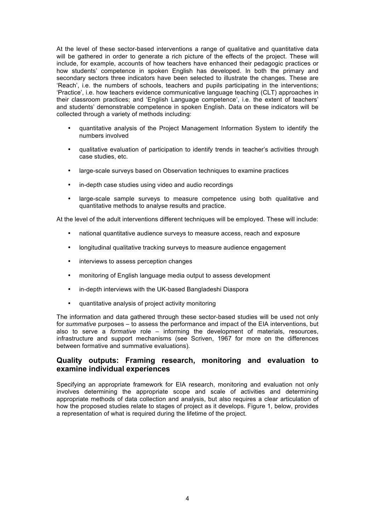At the level of these sector-based interventions a range of qualitative and quantitative data will be gathered in order to generate a rich picture of the effects of the project. These will include, for example, accounts of how teachers have enhanced their pedagogic practices or how students' competence in spoken English has developed. In both the primary and secondary sectors three indicators have been selected to illustrate the changes. These are 'Reach', i.e. the numbers of schools, teachers and pupils participating in the interventions; 'Practice', i.e. how teachers evidence communicative language teaching (CLT) approaches in their classroom practices; and 'English Language competence', i.e. the extent of teachers' and students' demonstrable competence in spoken English. Data on these indicators will be collected through a variety of methods including:

- quantitative analysis of the Project Management Information System to identify the numbers involved
- qualitative evaluation of participation to identify trends in teacher's activities through case studies, etc.
- large-scale surveys based on Observation techniques to examine practices
- in-depth case studies using video and audio recordings
- large-scale sample surveys to measure competence using both qualitative and quantitative methods to analyse results and practice.

At the level of the adult interventions different techniques will be employed. These will include:

- national quantitative audience surveys to measure access, reach and exposure
- longitudinal qualitative tracking surveys to measure audience engagement
- interviews to assess perception changes
- monitoring of English language media output to assess development
- in-depth interviews with the UK-based Bangladeshi Diaspora
- quantitative analysis of project activity monitoring

The information and data gathered through these sector-based studies will be used not only for *summative* purposes – to assess the performance and impact of the EIA interventions, but also to serve a *formative* role – informing the development of materials, resources, infrastructure and support mechanisms (see Scriven, 1967 for more on the differences between formative and summative evaluations).

## **Quality outputs: Framing research, monitoring and evaluation to examine individual experiences**

Specifying an appropriate framework for EIA research, monitoring and evaluation not only involves determining the appropriate scope and scale of activities and determining appropriate methods of data collection and analysis, but also requires a clear articulation of how the proposed studies relate to stages of project as it develops. Figure 1, below, provides a representation of what is required during the lifetime of the project.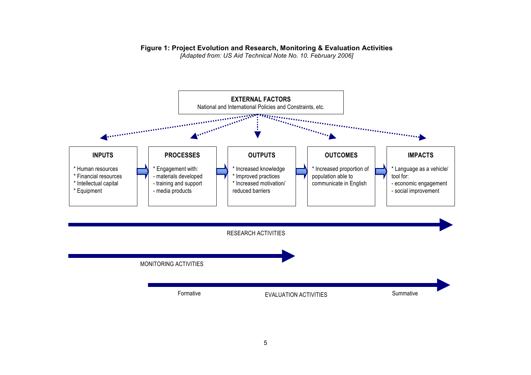# **Figure 1: Project Evolution and Research, Monitoring & Evaluation Activities**

*[Adapted from: US Aid Technical Note No. 10. February 2006]*

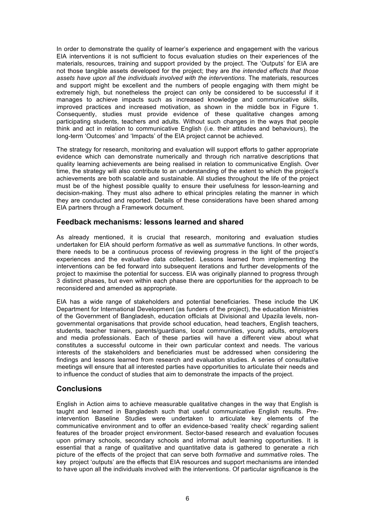In order to demonstrate the quality of learner's experience and engagement with the various EIA interventions it is not sufficient to focus evaluation studies on their experiences of the materials, resources, training and support provided by the project. The 'Outputs' for EIA are not those tangible assets developed for the project; they are *the intended effects that those assets have upon all the individuals involved with the interventions*. The materials, resources and support might be excellent and the numbers of people engaging with them might be extremely high, but nonetheless the project can only be considered to be successful if it manages to achieve impacts such as increased knowledge and communicative skills, improved practices and increased motivation, as shown in the middle box in Figure 1. Consequently, studies must provide evidence of these qualitative changes among participating students, teachers and adults. Without such changes in the ways that people think and act in relation to communicative English (i.e. their attitudes and behaviours), the long-term 'Outcomes' and 'Impacts' of the EIA project cannot be achieved.

The strategy for research, monitoring and evaluation will support efforts to gather appropriate evidence which can demonstrate numerically and through rich narrative descriptions that quality learning achievements are being realised in relation to communicative English. Over time, the strategy will also contribute to an understanding of the extent to which the project's achievements are both scalable and sustainable. All studies throughout the life of the project must be of the highest possible quality to ensure their usefulness for lesson-learning and decision-making. They must also adhere to ethical principles relating the manner in which they are conducted and reported. Details of these considerations have been shared among EIA partners through a Framework document.

## **Feedback mechanisms: lessons learned and shared**

As already mentioned, it is crucial that research, monitoring and evaluation studies undertaken for EIA should perform *formative* as well as *summative* functions. In other words, there needs to be a continuous process of reviewing progress in the light of the project's experiences and the evaluative data collected. Lessons learned from implementing the interventions can be fed forward into subsequent iterations and further developments of the project to maximise the potential for success. EIA was originally planned to progress through 3 distinct phases, but even within each phase there are opportunities for the approach to be reconsidered and amended as appropriate.

EIA has a wide range of stakeholders and potential beneficiaries. These include the UK Department for International Development (as funders of the project), the education Ministries of the Government of Bangladesh, education officials at Divisional and Upazila levels, nongovernmental organisations that provide school education, head teachers, English teachers, students, teacher trainers, parents/guardians, local communities, young adults, employers and media professionals. Each of these parties will have a different view about what constitutes a successful outcome in their own particular context and needs. The various interests of the stakeholders and beneficiaries must be addressed when considering the findings and lessons learned from research and evaluation studies. A series of consultative meetings will ensure that all interested parties have opportunities to articulate their needs and to influence the conduct of studies that aim to demonstrate the impacts of the project.

# **Conclusions**

English in Action aims to achieve measurable qualitative changes in the way that English is taught and learned in Bangladesh such that useful communicative English results. Preintervention Baseline Studies were undertaken to articulate key elements of the communicative environment and to offer an evidence-based 'reality check' regarding salient features of the broader project environment. Sector-based research and evaluation focuses upon primary schools, secondary schools and informal adult learning opportunities. It is essential that a range of qualitative and quantitative data is gathered to generate a rich picture of the effects of the project that can serve both *formative* and *summative* roles. The key project 'outputs' are the effects that EIA resources and support mechanisms are intended to have upon all the individuals involved with the interventions. Of particular significance is the